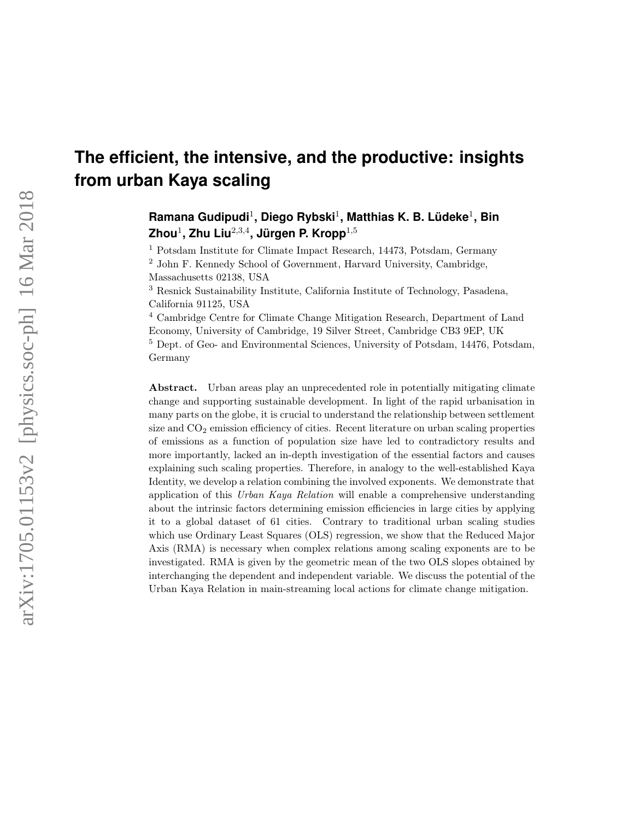# **The efficient, the intensive, and the productive: insights from urban Kaya scaling**

## **Ramana Gudipudi**<sup>1</sup> **, Diego Rybski**<sup>1</sup> **, Matthias K. B. Lüdeke**<sup>1</sup> **, Bin Zhou**<sup>1</sup> **, Zhu Liu**2,3,<sup>4</sup> **, Jürgen P. Kropp**1,<sup>5</sup>

<sup>1</sup> Potsdam Institute for Climate Impact Research, 14473, Potsdam, Germany

<sup>2</sup> John F. Kennedy School of Government, Harvard University, Cambridge,

Massachusetts 02138, USA

<sup>3</sup> Resnick Sustainability Institute, California Institute of Technology, Pasadena, California 91125, USA

<sup>4</sup> Cambridge Centre for Climate Change Mitigation Research, Department of Land Economy, University of Cambridge, 19 Silver Street, Cambridge CB3 9EP, UK <sup>5</sup> Dept. of Geo- and Environmental Sciences, University of Potsdam, 14476, Potsdam, Germany

Abstract. Urban areas play an unprecedented role in potentially mitigating climate change and supporting sustainable development. In light of the rapid urbanisation in many parts on the globe, it is crucial to understand the relationship between settlement size and  $CO<sub>2</sub>$  emission efficiency of cities. Recent literature on urban scaling properties of emissions as a function of population size have led to contradictory results and more importantly, lacked an in-depth investigation of the essential factors and causes explaining such scaling properties. Therefore, in analogy to the well-established Kaya Identity, we develop a relation combining the involved exponents. We demonstrate that application of this Urban Kaya Relation will enable a comprehensive understanding about the intrinsic factors determining emission efficiencies in large cities by applying it to a global dataset of 61 cities. Contrary to traditional urban scaling studies which use Ordinary Least Squares (OLS) regression, we show that the Reduced Major Axis (RMA) is necessary when complex relations among scaling exponents are to be investigated. RMA is given by the geometric mean of the two OLS slopes obtained by interchanging the dependent and independent variable. We discuss the potential of the Urban Kaya Relation in main-streaming local actions for climate change mitigation.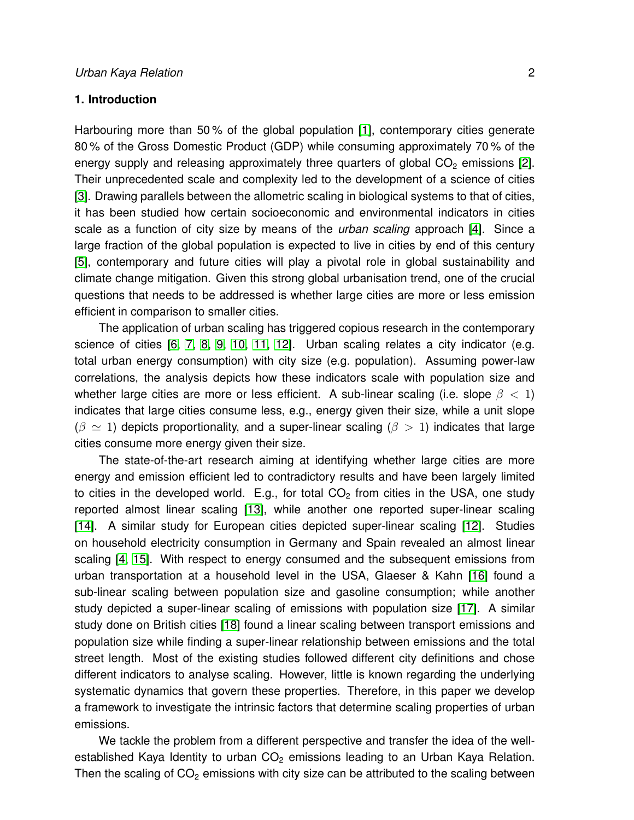## **1. Introduction**

Harbouring more than 50 % of the global population [\[1\]](#page-12-0), contemporary cities generate 80 % of the Gross Domestic Product (GDP) while consuming approximately 70 % of the energy supply and releasing approximately three quarters of global  $CO<sub>2</sub>$  emissions [\[2\]](#page-12-1). Their unprecedented scale and complexity led to the development of a science of cities [\[3\]](#page-12-2). Drawing parallels between the allometric scaling in biological systems to that of cities, it has been studied how certain socioeconomic and environmental indicators in cities scale as a function of city size by means of the *urban scaling* approach [\[4\]](#page-12-3). Since a large fraction of the global population is expected to live in cities by end of this century [\[5\]](#page-12-4), contemporary and future cities will play a pivotal role in global sustainability and climate change mitigation. Given this strong global urbanisation trend, one of the crucial questions that needs to be addressed is whether large cities are more or less emission efficient in comparison to smaller cities.

The application of urban scaling has triggered copious research in the contemporary science of cities [\[6,](#page-12-5) [7,](#page-12-6) [8,](#page-12-7) [9,](#page-12-8) [10,](#page-12-9) [11,](#page-12-10) [12\]](#page-12-11). Urban scaling relates a city indicator (e.g. total urban energy consumption) with city size (e.g. population). Assuming power-law correlations, the analysis depicts how these indicators scale with population size and whether large cities are more or less efficient. A sub-linear scaling (i.e. slope  $\beta < 1$ ) indicates that large cities consume less, e.g., energy given their size, while a unit slope  $(\beta \simeq 1)$  depicts proportionality, and a super-linear scaling  $(\beta > 1)$  indicates that large cities consume more energy given their size.

The state-of-the-art research aiming at identifying whether large cities are more energy and emission efficient led to contradictory results and have been largely limited to cities in the developed world. E.g., for total  $CO<sub>2</sub>$  from cities in the USA, one study reported almost linear scaling [\[13\]](#page-12-12), while another one reported super-linear scaling [\[14\]](#page-12-13). A similar study for European cities depicted super-linear scaling [\[12\]](#page-12-11). Studies on household electricity consumption in Germany and Spain revealed an almost linear scaling [\[4,](#page-12-3) [15\]](#page-12-14). With respect to energy consumed and the subsequent emissions from urban transportation at a household level in the USA, Glaeser & Kahn [\[16\]](#page-12-15) found a sub-linear scaling between population size and gasoline consumption; while another study depicted a super-linear scaling of emissions with population size [\[17\]](#page-12-16). A similar study done on British cities [\[18\]](#page-12-17) found a linear scaling between transport emissions and population size while finding a super-linear relationship between emissions and the total street length. Most of the existing studies followed different city definitions and chose different indicators to analyse scaling. However, little is known regarding the underlying systematic dynamics that govern these properties. Therefore, in this paper we develop a framework to investigate the intrinsic factors that determine scaling properties of urban emissions.

We tackle the problem from a different perspective and transfer the idea of the wellestablished Kaya Identity to urban  $CO<sub>2</sub>$  emissions leading to an Urban Kaya Relation. Then the scaling of  $CO<sub>2</sub>$  emissions with city size can be attributed to the scaling between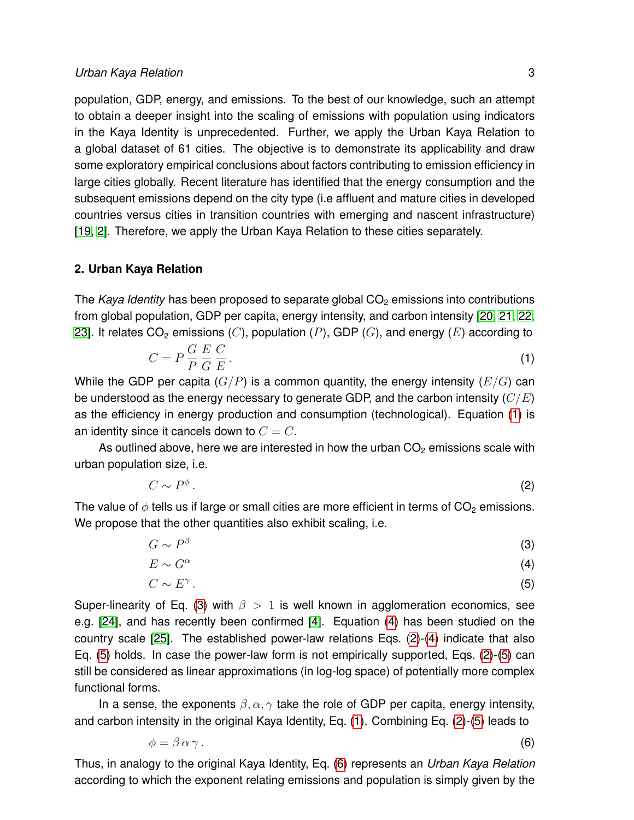population, GDP, energy, and emissions. To the best of our knowledge, such an attempt to obtain a deeper insight into the scaling of emissions with population using indicators in the Kaya Identity is unprecedented. Further, we apply the Urban Kaya Relation to a global dataset of 61 cities. The objective is to demonstrate its applicability and draw some exploratory empirical conclusions about factors contributing to emission efficiency in large cities globally. Recent literature has identified that the energy consumption and the subsequent emissions depend on the city type (i.e affluent and mature cities in developed countries versus cities in transition countries with emerging and nascent infrastructure) [\[19,](#page-12-18) [2\]](#page-12-1). Therefore, we apply the Urban Kaya Relation to these cities separately.

#### <span id="page-2-4"></span>**2. Urban Kaya Relation**

The *Kaya Identity* has been proposed to separate global CO<sub>2</sub> emissions into contributions from global population, GDP per capita, energy intensity, and carbon intensity [\[20,](#page-12-19) [21,](#page-13-0) [22,](#page-13-1) [23\]](#page-13-2). It relates  $CO<sub>2</sub>$  emissions (C), population (P), GDP (G), and energy (E) according to

<span id="page-2-0"></span>
$$
C = P \frac{G}{P} \frac{E}{G} \frac{C}{E} \tag{1}
$$

While the GDP per capita  $(G/P)$  is a common quantity, the energy intensity  $(E/G)$  can be understood as the energy necessary to generate GDP, and the carbon intensity  $(C/E)$ as the efficiency in energy production and consumption (technological). Equation [\(1\)](#page-2-0) is an identity since it cancels down to  $C = C$ .

As outlined above, here we are interested in how the urban  $CO<sub>2</sub>$  emissions scale with urban population size, i.e.

<span id="page-2-2"></span>
$$
C \sim P^{\phi} \tag{2}
$$

The value of  $\phi$  tells us if large or small cities are more efficient in terms of CO<sub>2</sub> emissions. We propose that the other quantities also exhibit scaling, i.e.

<span id="page-2-1"></span>
$$
G \sim P^{\beta} \tag{3}
$$

$$
E \sim G^{\alpha} \tag{4}
$$

$$
C \sim E^{\gamma} \tag{5}
$$

Super-linearity of Eq. [\(3\)](#page-2-1) with  $\beta > 1$  is well known in agglomeration economics, see e.g. [\[24\]](#page-13-3), and has recently been confirmed [\[4\]](#page-12-3). Equation [\(4\)](#page-2-1) has been studied on the country scale [\[25\]](#page-13-4). The established power-law relations Eqs. [\(2\)](#page-2-2)-[\(4\)](#page-2-1) indicate that also Eq. [\(5\)](#page-2-1) holds. In case the power-law form is not empirically supported, Eqs. [\(2\)](#page-2-2)-[\(5\)](#page-2-1) can still be considered as linear approximations (in log-log space) of potentially more complex functional forms.

In a sense, the exponents  $\beta$ ,  $\alpha$ ,  $\gamma$  take the role of GDP per capita, energy intensity, and carbon intensity in the original Kaya Identity, Eq. [\(1\)](#page-2-0). Combining Eq. [\(2\)](#page-2-2)-[\(5\)](#page-2-1) leads to

<span id="page-2-3"></span>
$$
\phi = \beta \,\alpha \,\gamma \,.
$$
\n<sup>(6)</sup>

Thus, in analogy to the original Kaya Identity, Eq. [\(6\)](#page-2-3) represents an *Urban Kaya Relation* according to which the exponent relating emissions and population is simply given by the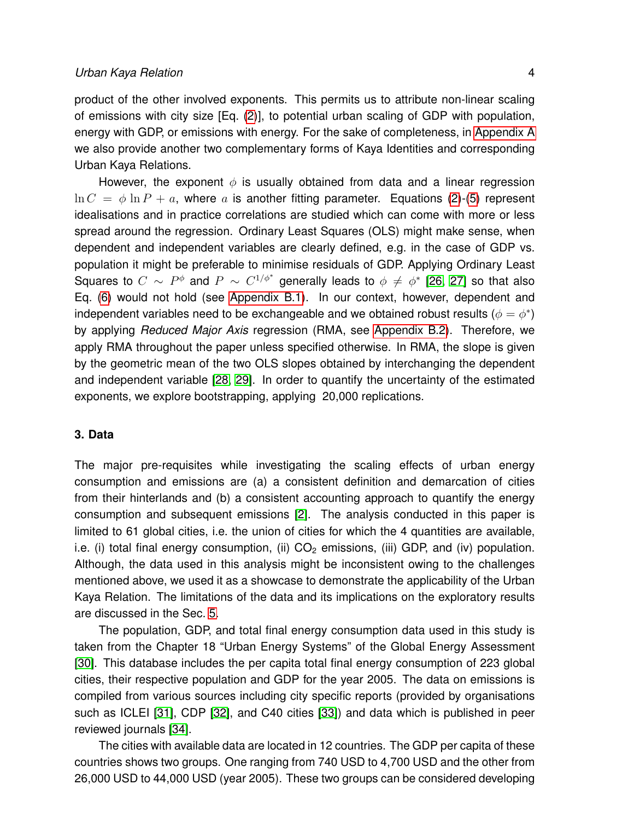product of the other involved exponents. This permits us to attribute non-linear scaling of emissions with city size [Eq. [\(2\)](#page-2-2)], to potential urban scaling of GDP with population, energy with GDP, or emissions with energy. For the sake of completeness, in [Appendix A](#page-10-0) we also provide another two complementary forms of Kaya Identities and corresponding Urban Kaya Relations.

However, the exponent  $\phi$  is usually obtained from data and a linear regression  $\ln C = \phi \ln P + a$ , where a is another fitting parameter. Equations [\(2\)](#page-2-2)-[\(5\)](#page-2-1) represent idealisations and in practice correlations are studied which can come with more or less spread around the regression. Ordinary Least Squares (OLS) might make sense, when dependent and independent variables are clearly defined, e.g. in the case of GDP vs. population it might be preferable to minimise residuals of GDP. Applying Ordinary Least Squares to  $C \sim P^\phi$  and  $P \sim C^{1/\phi^*}$  generally leads to  $\phi \neq \phi^*$  [\[26,](#page-13-5) [27\]](#page-13-6) so that also Eq. [\(6\)](#page-2-3) would not hold (see [Appendix B.1\)](#page-11-0). In our context, however, dependent and independent variables need to be exchangeable and we obtained robust results  $(\phi = \phi^*)$ by applying *Reduced Major Axis* regression (RMA, see [Appendix B.2\)](#page-11-1). Therefore, we apply RMA throughout the paper unless specified otherwise. In RMA, the slope is given by the geometric mean of the two OLS slopes obtained by interchanging the dependent and independent variable [\[28,](#page-13-7) [29\]](#page-13-8). In order to quantify the uncertainty of the estimated exponents, we explore bootstrapping, applying 20,000 replications.

## <span id="page-3-0"></span>**3. Data**

The major pre-requisites while investigating the scaling effects of urban energy consumption and emissions are (a) a consistent definition and demarcation of cities from their hinterlands and (b) a consistent accounting approach to quantify the energy consumption and subsequent emissions [\[2\]](#page-12-1). The analysis conducted in this paper is limited to 61 global cities, i.e. the union of cities for which the 4 quantities are available, i.e. (i) total final energy consumption, (ii)  $CO<sub>2</sub>$  emissions, (iii) GDP, and (iv) population. Although, the data used in this analysis might be inconsistent owing to the challenges mentioned above, we used it as a showcase to demonstrate the applicability of the Urban Kaya Relation. The limitations of the data and its implications on the exploratory results are discussed in the Sec. [5.](#page-7-0)

The population, GDP, and total final energy consumption data used in this study is taken from the Chapter 18 "Urban Energy Systems" of the Global Energy Assessment [\[30\]](#page-13-9). This database includes the per capita total final energy consumption of 223 global cities, their respective population and GDP for the year 2005. The data on emissions is compiled from various sources including city specific reports (provided by organisations such as ICLEI [\[31\]](#page-13-10), CDP [\[32\]](#page-13-11), and C40 cities [\[33\]](#page-13-12)) and data which is published in peer reviewed journals [\[34\]](#page-13-13).

The cities with available data are located in 12 countries. The GDP per capita of these countries shows two groups. One ranging from 740 USD to 4,700 USD and the other from 26,000 USD to 44,000 USD (year 2005). These two groups can be considered developing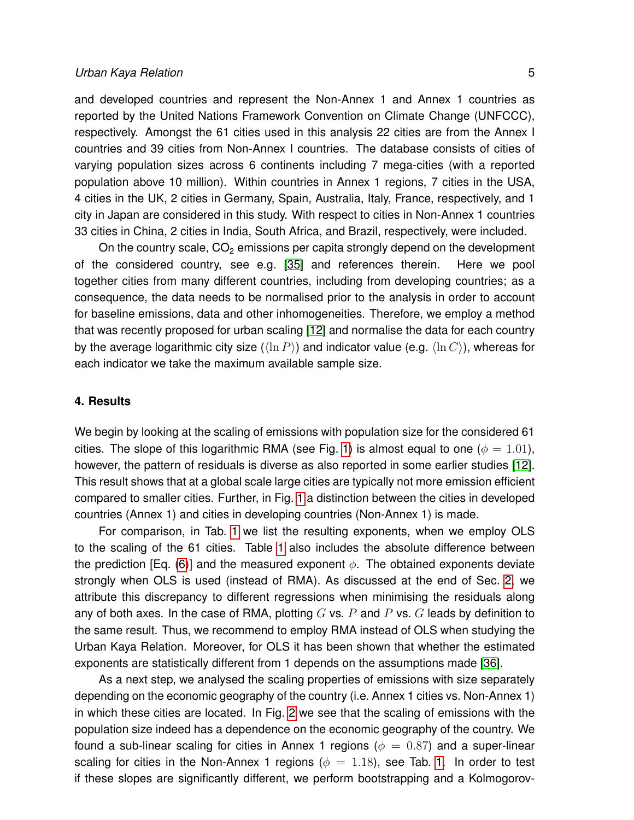## *Urban Kaya Relation* 5

and developed countries and represent the Non-Annex 1 and Annex 1 countries as reported by the United Nations Framework Convention on Climate Change (UNFCCC), respectively. Amongst the 61 cities used in this analysis 22 cities are from the Annex I countries and 39 cities from Non-Annex I countries. The database consists of cities of varying population sizes across 6 continents including 7 mega-cities (with a reported population above 10 million). Within countries in Annex 1 regions, 7 cities in the USA, 4 cities in the UK, 2 cities in Germany, Spain, Australia, Italy, France, respectively, and 1 city in Japan are considered in this study. With respect to cities in Non-Annex 1 countries 33 cities in China, 2 cities in India, South Africa, and Brazil, respectively, were included.

On the country scale,  $CO<sub>2</sub>$  emissions per capita strongly depend on the development of the considered country, see e.g. [\[35\]](#page-13-14) and references therein. Here we pool together cities from many different countries, including from developing countries; as a consequence, the data needs to be normalised prior to the analysis in order to account for baseline emissions, data and other inhomogeneities. Therefore, we employ a method that was recently proposed for urban scaling [\[12\]](#page-12-11) and normalise the data for each country by the average logarithmic city size  $(\langle \ln P \rangle)$  and indicator value (e.g.  $\langle \ln C \rangle$ ), whereas for each indicator we take the maximum available sample size.

## **4. Results**

We begin by looking at the scaling of emissions with population size for the considered 61 cities. The slope of this logarithmic RMA (see Fig. [1\)](#page-5-0) is almost equal to one ( $\phi = 1.01$ ), however, the pattern of residuals is diverse as also reported in some earlier studies [\[12\]](#page-12-11). This result shows that at a global scale large cities are typically not more emission efficient compared to smaller cities. Further, in Fig. [1](#page-5-0) a distinction between the cities in developed countries (Annex 1) and cities in developing countries (Non-Annex 1) is made.

For comparison, in Tab. [1](#page-7-1) we list the resulting exponents, when we employ OLS to the scaling of the 61 cities. Table [1](#page-7-1) also includes the absolute difference between the prediction [Eq. [\(6\)](#page-2-3)] and the measured exponent  $\phi$ . The obtained exponents deviate strongly when OLS is used (instead of RMA). As discussed at the end of Sec. [2,](#page-2-4) we attribute this discrepancy to different regressions when minimising the residuals along any of both axes. In the case of RMA, plotting  $G$  vs.  $P$  and  $P$  vs.  $G$  leads by definition to the same result. Thus, we recommend to employ RMA instead of OLS when studying the Urban Kaya Relation. Moreover, for OLS it has been shown that whether the estimated exponents are statistically different from 1 depends on the assumptions made [\[36\]](#page-14-0).

As a next step, we analysed the scaling properties of emissions with size separately depending on the economic geography of the country (i.e. Annex 1 cities vs. Non-Annex 1) in which these cities are located. In Fig. [2](#page-6-0) we see that the scaling of emissions with the population size indeed has a dependence on the economic geography of the country. We found a sub-linear scaling for cities in Annex 1 regions ( $\phi = 0.87$ ) and a super-linear scaling for cities in the Non-Annex 1 regions ( $\phi = 1.18$  $\phi = 1.18$  $\phi = 1.18$ ), see Tab. 1. In order to test if these slopes are significantly different, we perform bootstrapping and a Kolmogorov-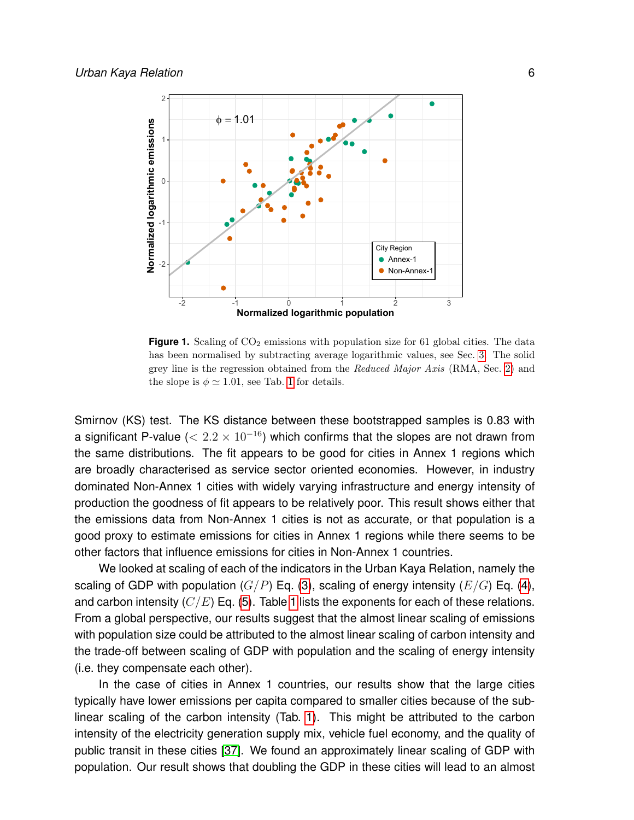

<span id="page-5-0"></span>**Figure 1.** Scaling of  $CO<sub>2</sub>$  emissions with population size for 61 global cities. The data has been normalised by subtracting average logarithmic values, see Sec. [3.](#page-3-0) The solid grey line is the regression obtained from the Reduced Major Axis (RMA, Sec. [2\)](#page-2-4) and the slope is  $\phi \simeq 1.01$  $\phi \simeq 1.01$  $\phi \simeq 1.01$ , see Tab. 1 for details.

Smirnov (KS) test. The KS distance between these bootstrapped samples is 0.83 with a significant P-value ( $< 2.2 \times 10^{-16}$ ) which confirms that the slopes are not drawn from the same distributions. The fit appears to be good for cities in Annex 1 regions which are broadly characterised as service sector oriented economies. However, in industry dominated Non-Annex 1 cities with widely varying infrastructure and energy intensity of production the goodness of fit appears to be relatively poor. This result shows either that the emissions data from Non-Annex 1 cities is not as accurate, or that population is a good proxy to estimate emissions for cities in Annex 1 regions while there seems to be other factors that influence emissions for cities in Non-Annex 1 countries.

We looked at scaling of each of the indicators in the Urban Kaya Relation, namely the scaling of GDP with population  $(G/P)$  Eq. [\(3\)](#page-2-1), scaling of energy intensity  $(E/G)$  Eq. [\(4\)](#page-2-1), and carbon intensity  $(C/E)$  Eq. [\(5\)](#page-2-1). Table [1](#page-7-1) lists the exponents for each of these relations. From a global perspective, our results suggest that the almost linear scaling of emissions with population size could be attributed to the almost linear scaling of carbon intensity and the trade-off between scaling of GDP with population and the scaling of energy intensity (i.e. they compensate each other).

In the case of cities in Annex 1 countries, our results show that the large cities typically have lower emissions per capita compared to smaller cities because of the sublinear scaling of the carbon intensity (Tab. [1\)](#page-7-1). This might be attributed to the carbon intensity of the electricity generation supply mix, vehicle fuel economy, and the quality of public transit in these cities [\[37\]](#page-14-1). We found an approximately linear scaling of GDP with population. Our result shows that doubling the GDP in these cities will lead to an almost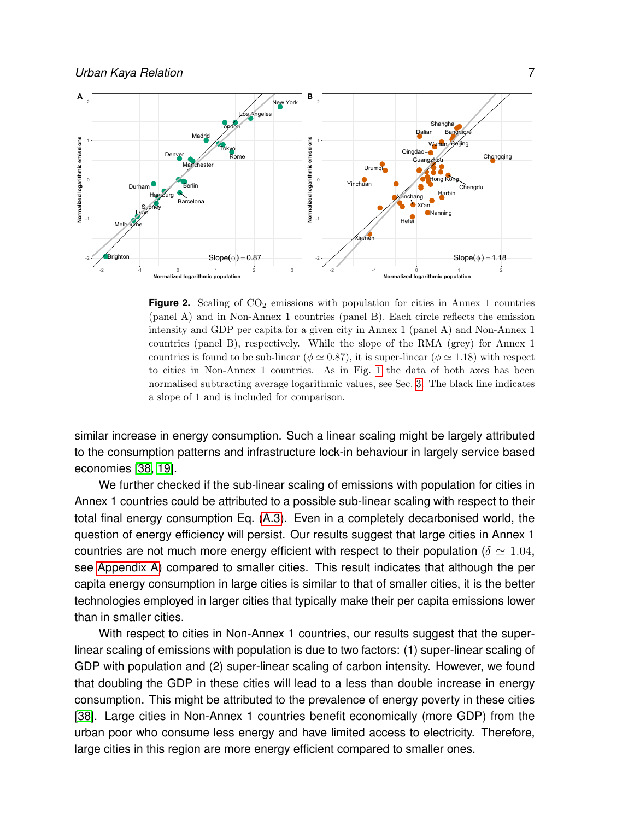

<span id="page-6-0"></span>**Figure 2.** Scaling of  $CO<sub>2</sub>$  emissions with population for cities in Annex 1 countries (panel A) and in Non-Annex 1 countries (panel B). Each circle reflects the emission intensity and GDP per capita for a given city in Annex 1 (panel A) and Non-Annex 1 countries (panel B), respectively. While the slope of the RMA (grey) for Annex 1 countries is found to be sub-linear ( $\phi \simeq 0.87$ ), it is super-linear ( $\phi \simeq 1.18$ ) with respect to cities in Non-Annex 1 countries. As in Fig. [1](#page-5-0) the data of both axes has been normalised subtracting average logarithmic values, see Sec. [3.](#page-3-0) The black line indicates a slope of 1 and is included for comparison.

similar increase in energy consumption. Such a linear scaling might be largely attributed to the consumption patterns and infrastructure lock-in behaviour in largely service based economies [\[38,](#page-14-2) [19\]](#page-12-18).

We further checked if the sub-linear scaling of emissions with population for cities in Annex 1 countries could be attributed to a possible sub-linear scaling with respect to their total final energy consumption Eq. [\(A.3\)](#page-10-1). Even in a completely decarbonised world, the question of energy efficiency will persist. Our results suggest that large cities in Annex 1 countries are not much more energy efficient with respect to their population ( $\delta \simeq 1.04$ , see [Appendix A\)](#page-10-0) compared to smaller cities. This result indicates that although the per capita energy consumption in large cities is similar to that of smaller cities, it is the better technologies employed in larger cities that typically make their per capita emissions lower than in smaller cities.

With respect to cities in Non-Annex 1 countries, our results suggest that the superlinear scaling of emissions with population is due to two factors: (1) super-linear scaling of GDP with population and (2) super-linear scaling of carbon intensity. However, we found that doubling the GDP in these cities will lead to a less than double increase in energy consumption. This might be attributed to the prevalence of energy poverty in these cities [\[38\]](#page-14-2). Large cities in Non-Annex 1 countries benefit economically (more GDP) from the urban poor who consume less energy and have limited access to electricity. Therefore, large cities in this region are more energy efficient compared to smaller ones.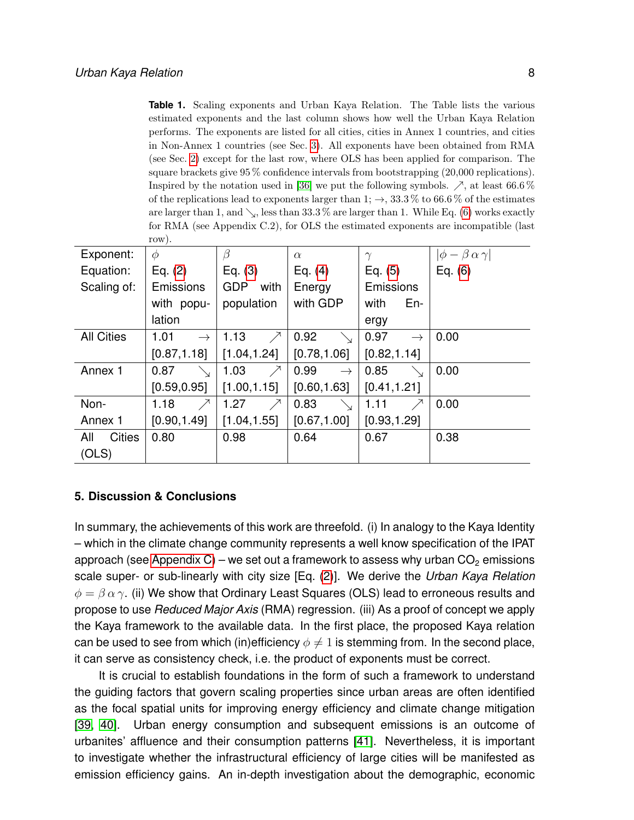<span id="page-7-1"></span>**Table 1.** Scaling exponents and Urban Kaya Relation. The Table lists the various estimated exponents and the last column shows how well the Urban Kaya Relation performs. The exponents are listed for all cities, cities in Annex 1 countries, and cities in Non-Annex 1 countries (see Sec. [3\)](#page-3-0). All exponents have been obtained from RMA (see Sec. [2\)](#page-2-4) except for the last row, where OLS has been applied for comparison. The square brackets give  $95\%$  confidence intervals from bootstrapping  $(20,000)$  replications). Inspired by the notation used in [\[36\]](#page-14-0) we put the following symbols.  $\nearrow$ , at least 66.6 % of the replications lead to exponents larger than 1;  $\rightarrow$ , 33.3 % to 66.6 % of the estimates are larger than 1, and  $\setminus$ , less than 33.3 % are larger than 1. While Eq. [\(6\)](#page-2-3) works exactly for RMA (see Appendix C.2), for OLS the estimated exponents are incompatible (last row).

|                      | .                     |                    |                       |                       |                                |
|----------------------|-----------------------|--------------------|-----------------------|-----------------------|--------------------------------|
| Exponent:            | $\phi$                | β                  | $\alpha$              | $\gamma$              | $ \phi - \beta \alpha \gamma $ |
| Equation:            | Eq. $(2)$             | Eq. $(3)$          | Eq. $(4)$             | Eq. $(5)$             | Eq. $(6)$                      |
| Scaling of:          | Emissions             | <b>GDP</b><br>with | Energy                | Emissions             |                                |
|                      | with popu-            | population         | with GDP              | with<br>En-           |                                |
|                      | lation                |                    |                       | ergy                  |                                |
| <b>All Cities</b>    | 1.01<br>$\rightarrow$ | $\nearrow$<br>1.13 | 0.92<br>╲             | 0.97<br>$\rightarrow$ | 0.00                           |
|                      | [0.87, 1.18]          | [1.04, 1.24]       | [0.78, 1.06]          | [0.82, 1.14]          |                                |
| Annex 1              | 0.87                  | 1.03<br>$\nearrow$ | 0.99<br>$\rightarrow$ | 0.85                  | 0.00                           |
|                      | [0.59, 0.95]          | [1.00, 1.15]       | [0.60, 1.63]          | [0.41, 1.21]          |                                |
| Non-                 | $\nearrow$<br>1.18    | 1.27<br>$\nearrow$ | 0.83                  | 1.11<br>↗             | 0.00                           |
| Annex 1              | [0.90, 1.49]          | [1.04, 1.55]       | [0.67, 1.00]          | [0.93, 1.29]          |                                |
| All<br><b>Cities</b> | 0.80                  | 0.98               | 0.64                  | 0.67                  | 0.38                           |
| (OLS)                |                       |                    |                       |                       |                                |

## <span id="page-7-0"></span>**5. Discussion & Conclusions**

In summary, the achievements of this work are threefold. (i) In analogy to the Kaya Identity – which in the climate change community represents a well know specification of the IPAT approach (see [Appendix C\)](#page-11-2) – we set out a framework to assess why urban  $CO<sub>2</sub>$  emissions scale super- or sub-linearly with city size [Eq. [\(2\)](#page-2-2)]. We derive the *Urban Kaya Relation*  $\phi = \beta \alpha \gamma$ . (ii) We show that Ordinary Least Squares (OLS) lead to erroneous results and propose to use *Reduced Major Axis* (RMA) regression. (iii) As a proof of concept we apply the Kaya framework to the available data. In the first place, the proposed Kaya relation can be used to see from which (in)efficiency  $\phi \neq 1$  is stemming from. In the second place, it can serve as consistency check, i.e. the product of exponents must be correct.

It is crucial to establish foundations in the form of such a framework to understand the guiding factors that govern scaling properties since urban areas are often identified as the focal spatial units for improving energy efficiency and climate change mitigation [\[39,](#page-14-3) [40\]](#page-14-4). Urban energy consumption and subsequent emissions is an outcome of urbanites' affluence and their consumption patterns [\[41\]](#page-14-5). Nevertheless, it is important to investigate whether the infrastructural efficiency of large cities will be manifested as emission efficiency gains. An in-depth investigation about the demographic, economic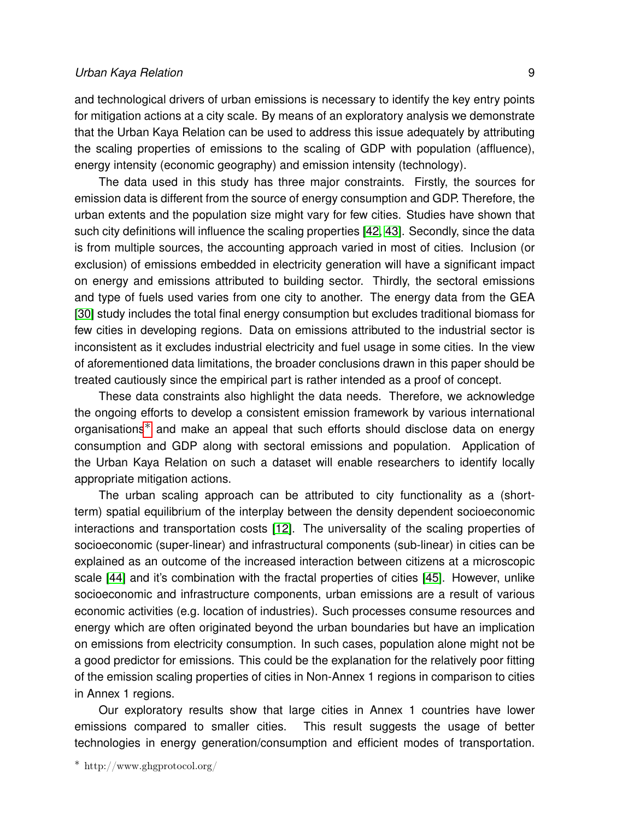## *Urban Kaya Relation* 9

and technological drivers of urban emissions is necessary to identify the key entry points for mitigation actions at a city scale. By means of an exploratory analysis we demonstrate that the Urban Kaya Relation can be used to address this issue adequately by attributing the scaling properties of emissions to the scaling of GDP with population (affluence), energy intensity (economic geography) and emission intensity (technology).

The data used in this study has three major constraints. Firstly, the sources for emission data is different from the source of energy consumption and GDP. Therefore, the urban extents and the population size might vary for few cities. Studies have shown that such city definitions will influence the scaling properties [\[42,](#page-14-6) [43\]](#page-14-7). Secondly, since the data is from multiple sources, the accounting approach varied in most of cities. Inclusion (or exclusion) of emissions embedded in electricity generation will have a significant impact on energy and emissions attributed to building sector. Thirdly, the sectoral emissions and type of fuels used varies from one city to another. The energy data from the GEA [\[30\]](#page-13-9) study includes the total final energy consumption but excludes traditional biomass for few cities in developing regions. Data on emissions attributed to the industrial sector is inconsistent as it excludes industrial electricity and fuel usage in some cities. In the view of aforementioned data limitations, the broader conclusions drawn in this paper should be treated cautiously since the empirical part is rather intended as a proof of concept.

These data constraints also highlight the data needs. Therefore, we acknowledge the ongoing efforts to develop a consistent emission framework by various international organisations[∗](#page-8-0) and make an appeal that such efforts should disclose data on energy consumption and GDP along with sectoral emissions and population. Application of the Urban Kaya Relation on such a dataset will enable researchers to identify locally appropriate mitigation actions.

The urban scaling approach can be attributed to city functionality as a (shortterm) spatial equilibrium of the interplay between the density dependent socioeconomic interactions and transportation costs [\[12\]](#page-12-11). The universality of the scaling properties of socioeconomic (super-linear) and infrastructural components (sub-linear) in cities can be explained as an outcome of the increased interaction between citizens at a microscopic scale [\[44\]](#page-14-8) and it's combination with the fractal properties of cities [\[45\]](#page-14-9). However, unlike socioeconomic and infrastructure components, urban emissions are a result of various economic activities (e.g. location of industries). Such processes consume resources and energy which are often originated beyond the urban boundaries but have an implication on emissions from electricity consumption. In such cases, population alone might not be a good predictor for emissions. This could be the explanation for the relatively poor fitting of the emission scaling properties of cities in Non-Annex 1 regions in comparison to cities in Annex 1 regions.

<span id="page-8-0"></span>Our exploratory results show that large cities in Annex 1 countries have lower emissions compared to smaller cities. This result suggests the usage of better technologies in energy generation/consumption and efficient modes of transportation.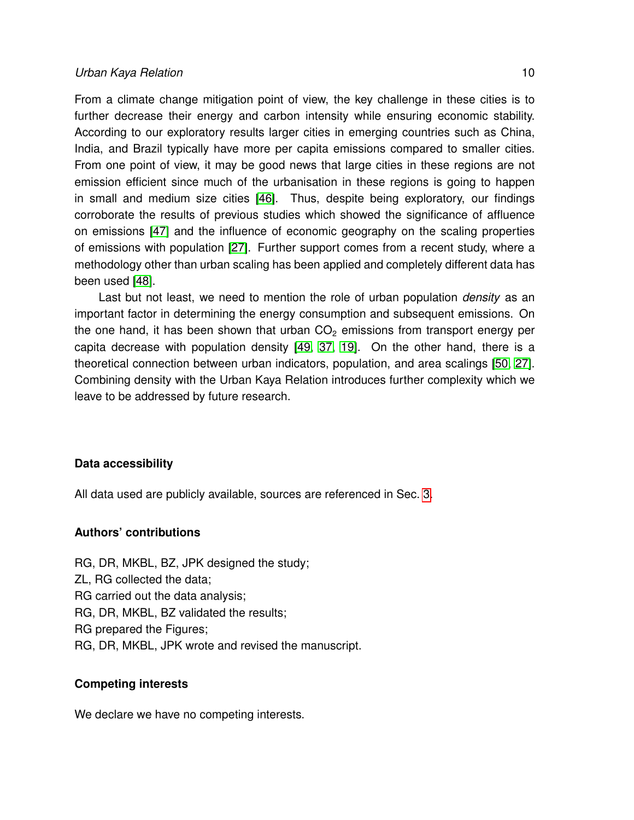## *Urban Kaya Relation* 10

From a climate change mitigation point of view, the key challenge in these cities is to further decrease their energy and carbon intensity while ensuring economic stability. According to our exploratory results larger cities in emerging countries such as China, India, and Brazil typically have more per capita emissions compared to smaller cities. From one point of view, it may be good news that large cities in these regions are not emission efficient since much of the urbanisation in these regions is going to happen in small and medium size cities [\[46\]](#page-14-10). Thus, despite being exploratory, our findings corroborate the results of previous studies which showed the significance of affluence on emissions [\[47\]](#page-14-11) and the influence of economic geography on the scaling properties of emissions with population [\[27\]](#page-13-6). Further support comes from a recent study, where a methodology other than urban scaling has been applied and completely different data has been used [\[48\]](#page-14-12).

Last but not least, we need to mention the role of urban population *density* as an important factor in determining the energy consumption and subsequent emissions. On the one hand, it has been shown that urban  $CO<sub>2</sub>$  emissions from transport energy per capita decrease with population density [\[49,](#page-14-13) [37,](#page-14-1) [19\]](#page-12-18). On the other hand, there is a theoretical connection between urban indicators, population, and area scalings [\[50,](#page-14-14) [27\]](#page-13-6). Combining density with the Urban Kaya Relation introduces further complexity which we leave to be addressed by future research.

## **Data accessibility**

All data used are publicly available, sources are referenced in Sec. [3.](#page-3-0)

## **Authors' contributions**

RG, DR, MKBL, BZ, JPK designed the study; ZL, RG collected the data; RG carried out the data analysis; RG, DR, MKBL, BZ validated the results; RG prepared the Figures; RG, DR, MKBL, JPK wrote and revised the manuscript.

## **Competing interests**

We declare we have no competing interests.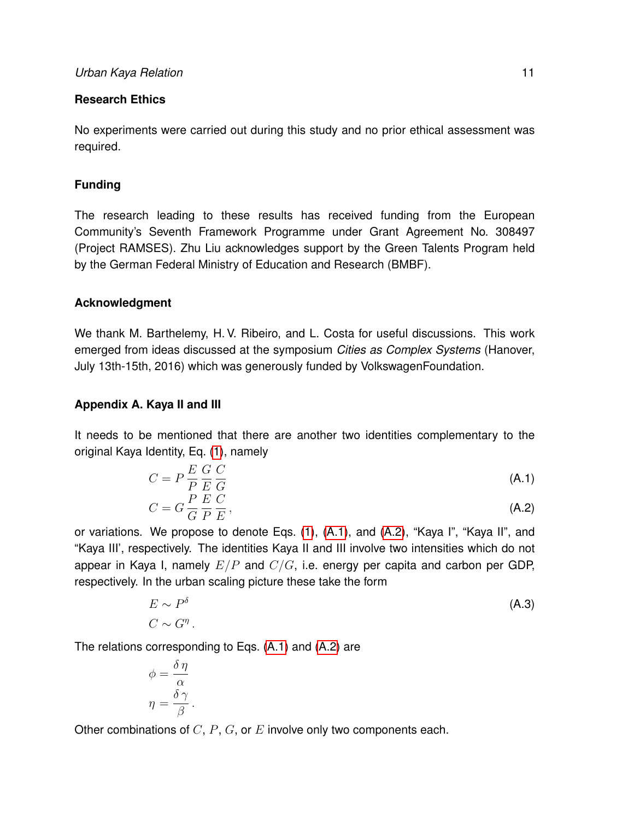## **Research Ethics**

No experiments were carried out during this study and no prior ethical assessment was required.

## **Funding**

The research leading to these results has received funding from the European Community's Seventh Framework Programme under Grant Agreement No. 308497 (Project RAMSES). Zhu Liu acknowledges support by the Green Talents Program held by the German Federal Ministry of Education and Research (BMBF).

## **Acknowledgment**

We thank M. Barthelemy, H. V. Ribeiro, and L. Costa for useful discussions. This work emerged from ideas discussed at the symposium *Cities as Complex Systems* (Hanover, July 13th-15th, 2016) which was generously funded by VolkswagenFoundation.

## <span id="page-10-0"></span>**Appendix A. Kaya II and III**

It needs to be mentioned that there are another two identities complementary to the original Kaya Identity, Eq. [\(1\)](#page-2-0), namely

<span id="page-10-2"></span>
$$
C = P \frac{E}{P} \frac{G}{E} \frac{C}{G}
$$
(A.1)  

$$
C = G \frac{P}{\Rightarrow} \frac{E}{\Rightarrow} \frac{C}{\Rightarrow}.
$$
(A.2)

$$
G = G \frac{1}{G} \frac{E}{P} \frac{C}{E},
$$
\n(A.2)

or variations. We propose to denote Eqs. [\(1\)](#page-2-0), [\(A.1\)](#page-10-2), and [\(A.2\)](#page-10-2), "Kaya I", "Kaya II", and "Kaya III', respectively. The identities Kaya II and III involve two intensities which do not appear in Kaya I, namely  $E/P$  and  $C/G$ , i.e. energy per capita and carbon per GDP, respectively. In the urban scaling picture these take the form

<span id="page-10-1"></span>
$$
E \sim P^{\delta}
$$
 (A.3)

The relations corresponding to Eqs. [\(A.1\)](#page-10-2) and [\(A.2\)](#page-10-2) are

$$
\phi = \frac{\delta \eta}{\alpha}
$$

$$
\eta = \frac{\delta \gamma}{\beta}.
$$

Other combinations of  $C, P, G$ , or  $E$  involve only two components each.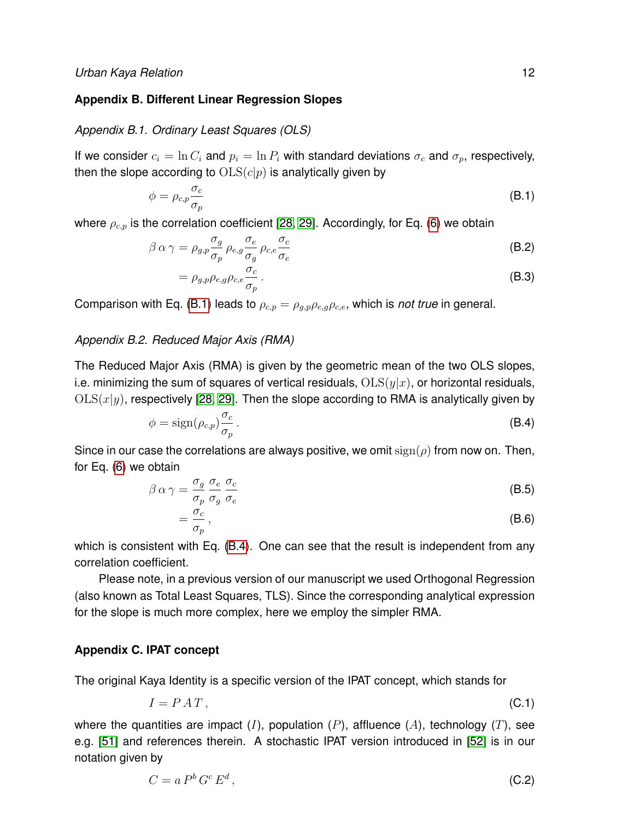## **Appendix B. Different Linear Regression Slopes**

#### <span id="page-11-0"></span>*Appendix B.1. Ordinary Least Squares (OLS)*

If we consider  $c_i = \ln C_i$  and  $p_i = \ln P_i$  with standard deviations  $\sigma_c$  and  $\sigma_p$ , respectively, then the slope according to  $OLS(c|p)$  is analytically given by

<span id="page-11-3"></span>
$$
\phi = \rho_{c,p} \frac{\sigma_c}{\sigma_p} \tag{B.1}
$$

where  $\rho_{c,p}$  is the correlation coefficient [\[28,](#page-13-7) [29\]](#page-13-8). Accordingly, for Eq. [\(6\)](#page-2-3) we obtain

$$
\beta \alpha \gamma = \rho_{g,p} \frac{\sigma_g}{\sigma_p} \rho_{e,g} \frac{\sigma_e}{\sigma_g} \rho_{c,e} \frac{\sigma_c}{\sigma_e}
$$
(B.2)

$$
=\rho_{g,p}\rho_{e,g}\rho_{c,e}\frac{\sigma_c}{\sigma_p}.
$$
\n(B.3)

Comparison with Eq. [\(B.1\)](#page-11-3) leads to  $\rho_{c,p} = \rho_{q,p} \rho_{e,q} \rho_{c,e}$ , which is *not true* in general.

## <span id="page-11-1"></span>*Appendix B.2. Reduced Major Axis (RMA)*

The Reduced Major Axis (RMA) is given by the geometric mean of the two OLS slopes, i.e. minimizing the sum of squares of vertical residuals,  $OLS(y|x)$ , or horizontal residuals,  $OLS(x|y)$ , respectively [\[28,](#page-13-7) [29\]](#page-13-8). Then the slope according to RMA is analytically given by

<span id="page-11-4"></span>
$$
\phi = \text{sign}(\rho_{c,p}) \frac{\sigma_c}{\sigma_p} \,. \tag{B.4}
$$

Since in our case the correlations are always positive, we omit  $sign(\rho)$  from now on. Then, for Eq. [\(6\)](#page-2-3) we obtain

$$
\beta \alpha \gamma = \frac{\sigma_g}{\sigma_p} \frac{\sigma_e}{\sigma_g} \frac{\sigma_c}{\sigma_e}
$$
 (B.5)

$$
=\frac{\sigma_c}{\sigma_p},\tag{B.6}
$$

which is consistent with Eq. [\(B.4\)](#page-11-4). One can see that the result is independent from any correlation coefficient.

Please note, in a previous version of our manuscript we used Orthogonal Regression (also known as Total Least Squares, TLS). Since the corresponding analytical expression for the slope is much more complex, here we employ the simpler RMA.

## <span id="page-11-2"></span>**Appendix C. IPAT concept**

The original Kaya Identity is a specific version of the IPAT concept, which stands for

$$
I = P A T, \tag{C.1}
$$

where the quantities are impact  $(I)$ , population  $(P)$ , affluence  $(A)$ , technology  $(T)$ , see e.g. [\[51\]](#page-14-15) and references therein. A stochastic IPAT version introduced in [\[52\]](#page-14-16) is in our notation given by

<span id="page-11-5"></span>
$$
C = a Pb Gc Ed,
$$
 (C.2)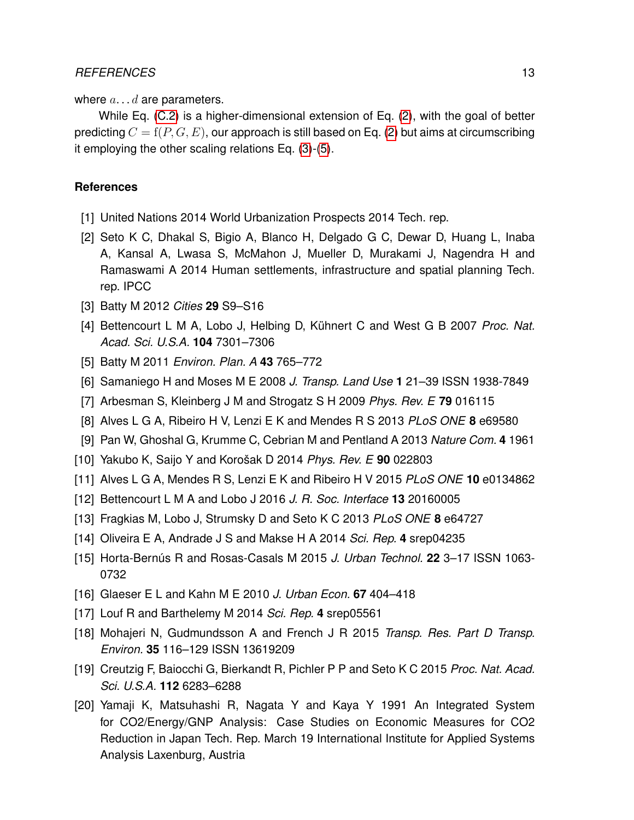where  $a \dots d$  are parameters.

While Eq. [\(C.2\)](#page-11-5) is a higher-dimensional extension of Eq. [\(2\)](#page-2-2), with the goal of better predicting  $C = f(P, G, E)$ , our approach is still based on Eq. [\(2\)](#page-2-2) but aims at circumscribing it employing the other scaling relations Eq. [\(3\)](#page-2-1)-[\(5\)](#page-2-1).

## **References**

- <span id="page-12-0"></span>[1] United Nations 2014 World Urbanization Prospects 2014 Tech. rep.
- <span id="page-12-1"></span>[2] Seto K C, Dhakal S, Bigio A, Blanco H, Delgado G C, Dewar D, Huang L, Inaba A, Kansal A, Lwasa S, McMahon J, Mueller D, Murakami J, Nagendra H and Ramaswami A 2014 Human settlements, infrastructure and spatial planning Tech. rep. IPCC
- <span id="page-12-2"></span>[3] Batty M 2012 *Cities* **29** S9–S16
- <span id="page-12-3"></span>[4] Bettencourt L M A, Lobo J, Helbing D, Kühnert C and West G B 2007 *Proc. Nat. Acad. Sci. U.S.A.* **104** 7301–7306
- <span id="page-12-4"></span>[5] Batty M 2011 *Environ. Plan. A* **43** 765–772
- <span id="page-12-5"></span>[6] Samaniego H and Moses M E 2008 *J. Transp. Land Use* **1** 21–39 ISSN 1938-7849
- <span id="page-12-6"></span>[7] Arbesman S, Kleinberg J M and Strogatz S H 2009 *Phys. Rev. E* **79** 016115
- <span id="page-12-7"></span>[8] Alves L G A, Ribeiro H V, Lenzi E K and Mendes R S 2013 *PLoS ONE* **8** e69580
- <span id="page-12-8"></span>[9] Pan W, Ghoshal G, Krumme C, Cebrian M and Pentland A 2013 *Nature Com.* **4** 1961
- <span id="page-12-9"></span>[10] Yakubo K, Saijo Y and Korošak D 2014 *Phys. Rev. E* **90** 022803
- <span id="page-12-10"></span>[11] Alves L G A, Mendes R S, Lenzi E K and Ribeiro H V 2015 *PLoS ONE* **10** e0134862
- <span id="page-12-11"></span>[12] Bettencourt L M A and Lobo J 2016 *J. R. Soc. Interface* **13** 20160005
- <span id="page-12-12"></span>[13] Fragkias M, Lobo J, Strumsky D and Seto K C 2013 *PLoS ONE* **8** e64727
- <span id="page-12-13"></span>[14] Oliveira E A, Andrade J S and Makse H A 2014 *Sci. Rep.* **4** srep04235
- <span id="page-12-14"></span>[15] Horta-Bernús R and Rosas-Casals M 2015 *J. Urban Technol.* **22** 3–17 ISSN 1063- 0732
- <span id="page-12-15"></span>[16] Glaeser E L and Kahn M E 2010 *J. Urban Econ.* **67** 404–418
- <span id="page-12-16"></span>[17] Louf R and Barthelemy M 2014 *Sci. Rep.* **4** srep05561
- <span id="page-12-17"></span>[18] Mohajeri N, Gudmundsson A and French J R 2015 *Transp. Res. Part D Transp. Environ.* **35** 116–129 ISSN 13619209
- <span id="page-12-18"></span>[19] Creutzig F, Baiocchi G, Bierkandt R, Pichler P P and Seto K C 2015 *Proc. Nat. Acad. Sci. U.S.A.* **112** 6283–6288
- <span id="page-12-19"></span>[20] Yamaji K, Matsuhashi R, Nagata Y and Kaya Y 1991 An Integrated System for CO2/Energy/GNP Analysis: Case Studies on Economic Measures for CO2 Reduction in Japan Tech. Rep. March 19 International Institute for Applied Systems Analysis Laxenburg, Austria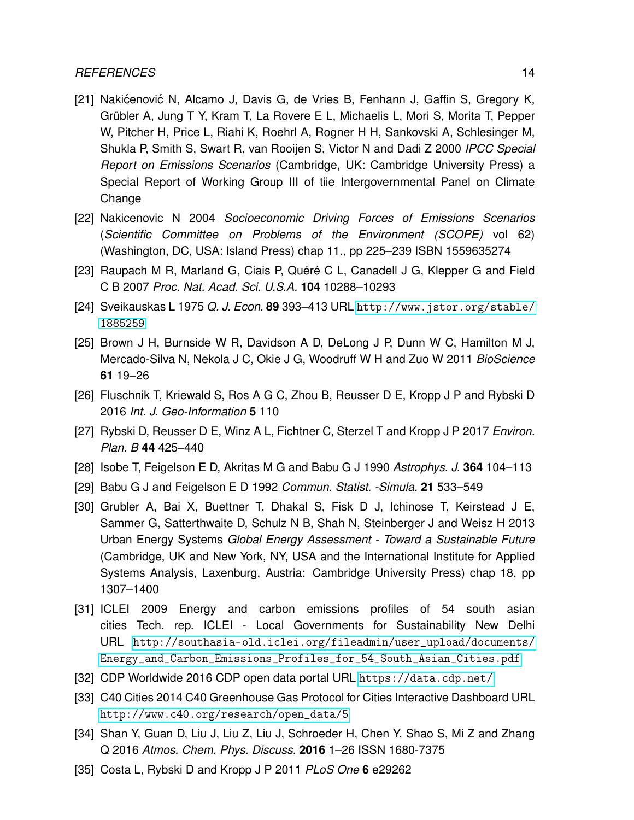## *REFERENCES* 14

- <span id="page-13-0"></span>[21] Nakićenović N, Alcamo J, Davis G, de Vries B, Fenhann J, Gaffin S, Gregory K, Grübler A, Jung T Y, Kram T, La Rovere E L, Michaelis L, Mori S, Morita T, Pepper W, Pitcher H, Price L, Riahi K, Roehrl A, Rogner H H, Sankovski A, Schlesinger M, Shukla P, Smith S, Swart R, van Rooijen S, Victor N and Dadi Z 2000 *IPCC Special Report on Emissions Scenarios* (Cambridge, UK: Cambridge University Press) a Special Report of Working Group III of tiie Intergovernmental Panel on Climate Change
- <span id="page-13-1"></span>[22] Nakicenovic N 2004 *Socioeconomic Driving Forces of Emissions Scenarios* (*Scientific Committee on Problems of the Environment (SCOPE)* vol 62) (Washington, DC, USA: Island Press) chap 11., pp 225–239 ISBN 1559635274
- <span id="page-13-2"></span>[23] Raupach M R, Marland G, Ciais P, Quéré C L, Canadell J G, Klepper G and Field C B 2007 *Proc. Nat. Acad. Sci. U.S.A.* **104** 10288–10293
- <span id="page-13-3"></span>[24] Sveikauskas L 1975 *Q. J. Econ.* **89** 393–413 URL [http://www.jstor.org/stable/](http://www.jstor.org/stable/1885259) [1885259](http://www.jstor.org/stable/1885259)
- <span id="page-13-4"></span>[25] Brown J H, Burnside W R, Davidson A D, DeLong J P, Dunn W C, Hamilton M J, Mercado-Silva N, Nekola J C, Okie J G, Woodruff W H and Zuo W 2011 *BioScience* **61** 19–26
- <span id="page-13-5"></span>[26] Fluschnik T, Kriewald S, Ros A G C, Zhou B, Reusser D E, Kropp J P and Rybski D 2016 *Int. J. Geo-Information* **5** 110
- <span id="page-13-6"></span>[27] Rybski D, Reusser D E, Winz A L, Fichtner C, Sterzel T and Kropp J P 2017 *Environ. Plan. B* **44** 425–440
- <span id="page-13-7"></span>[28] Isobe T, Feigelson E D, Akritas M G and Babu G J 1990 *Astrophys. J.* **364** 104–113
- <span id="page-13-8"></span>[29] Babu G J and Feigelson E D 1992 *Commun. Statist. -Simula.* **21** 533–549
- <span id="page-13-9"></span>[30] Grubler A, Bai X, Buettner T, Dhakal S, Fisk D J, Ichinose T, Keirstead J E, Sammer G, Satterthwaite D, Schulz N B, Shah N, Steinberger J and Weisz H 2013 Urban Energy Systems *Global Energy Assessment - Toward a Sustainable Future* (Cambridge, UK and New York, NY, USA and the International Institute for Applied Systems Analysis, Laxenburg, Austria: Cambridge University Press) chap 18, pp 1307–1400
- <span id="page-13-10"></span>[31] ICLEI 2009 Energy and carbon emissions profiles of 54 south asian cities Tech. rep. ICLEI - Local Governments for Sustainability New Delhi URL [http://southasia-old.iclei.org/fileadmin/user\\_upload/documents/](http://southasia-old.iclei.org/fileadmin/user_upload/documents/Energy_and_Carbon_Emissions_Profiles_for_54_South_Asian_Cities.pdf) [Energy\\_and\\_Carbon\\_Emissions\\_Profiles\\_for\\_54\\_South\\_Asian\\_Cities.pdf](http://southasia-old.iclei.org/fileadmin/user_upload/documents/Energy_and_Carbon_Emissions_Profiles_for_54_South_Asian_Cities.pdf)
- <span id="page-13-11"></span>[32] CDP Worldwide 2016 CDP open data portal URL <https://data.cdp.net/>
- <span id="page-13-12"></span>[33] C40 Cities 2014 C40 Greenhouse Gas Protocol for Cities Interactive Dashboard URL [http://www.c40.org/research/open\\_data/5](http://www.c40.org/research/open_data/5)
- <span id="page-13-13"></span>[34] Shan Y, Guan D, Liu J, Liu Z, Liu J, Schroeder H, Chen Y, Shao S, Mi Z and Zhang Q 2016 *Atmos. Chem. Phys. Discuss.* **2016** 1–26 ISSN 1680-7375
- <span id="page-13-14"></span>[35] Costa L, Rybski D and Kropp J P 2011 *PLoS One* **6** e29262